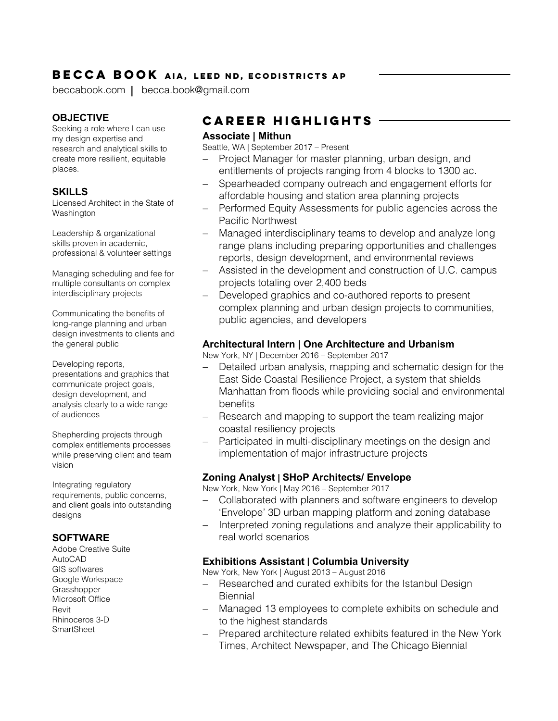## **BECCA BOOK AIA, LEED ND, ECODISTRICTS AP**

beccabook.com | becca.book@gmail.com

## **OBJECTIVE**

Seeking a role where I can use my design expertise and research and analytical skills to create more resilient, equitable places.

#### **SKILLS**

Licensed Architect in the State of **Washington** 

Leadership & organizational skills proven in academic, professional & volunteer settings

Managing scheduling and fee for multiple consultants on complex interdisciplinary projects

Communicating the benefits of long-range planning and urban design investments to clients and the general public

Developing reports, presentations and graphics that communicate project goals, design development, and analysis clearly to a wide range of audiences

Shepherding projects through complex entitlements processes while preserving client and team vision

Integrating regulatory requirements, public concerns, and client goals into outstanding designs

### **SOFTWARE**

Adobe Creative Suite AutoCAD GIS softwares Google Workspace **Grasshopper** Microsoft Office Revit Rhinoceros 3-D **SmartSheet** 

# **CAREER HIGHLIGHTS**

#### **Associate | Mithun**

Seattle, WA | September 2017 – Present

- Project Manager for master planning, urban design, and entitlements of projects ranging from 4 blocks to 1300 ac.
- − Spearheaded company outreach and engagement efforts for affordable housing and station area planning projects
- − Performed Equity Assessments for public agencies across the Pacific Northwest
- − Managed interdisciplinary teams to develop and analyze long range plans including preparing opportunities and challenges reports, design development, and environmental reviews
- − Assisted in the development and construction of U.C. campus projects totaling over 2,400 beds
- Developed graphics and co-authored reports to present complex planning and urban design projects to communities, public agencies, and developers

## **Architectural Intern | One Architecture and Urbanism**

New York, NY | December 2016 – September 2017

- − Detailed urban analysis, mapping and schematic design for the East Side Coastal Resilience Project, a system that shields Manhattan from floods while providing social and environmental benefits
- − Research and mapping to support the team realizing major coastal resiliency projects
- Participated in multi-disciplinary meetings on the design and implementation of major infrastructure projects

## **Zoning Analyst | SHoP Architects/ Envelope**

New York, New York | May 2016 – September 2017

- − Collaborated with planners and software engineers to develop 'Envelope' 3D urban mapping platform and zoning database
- − Interpreted zoning regulations and analyze their applicability to real world scenarios

### **Exhibitions Assistant | Columbia University**

New York, New York | August 2013 – August 2016

- − Researched and curated exhibits for the Istanbul Design **Biennial**
- − Managed 13 employees to complete exhibits on schedule and to the highest standards
- − Prepared architecture related exhibits featured in the New York Times, Architect Newspaper, and The Chicago Biennial